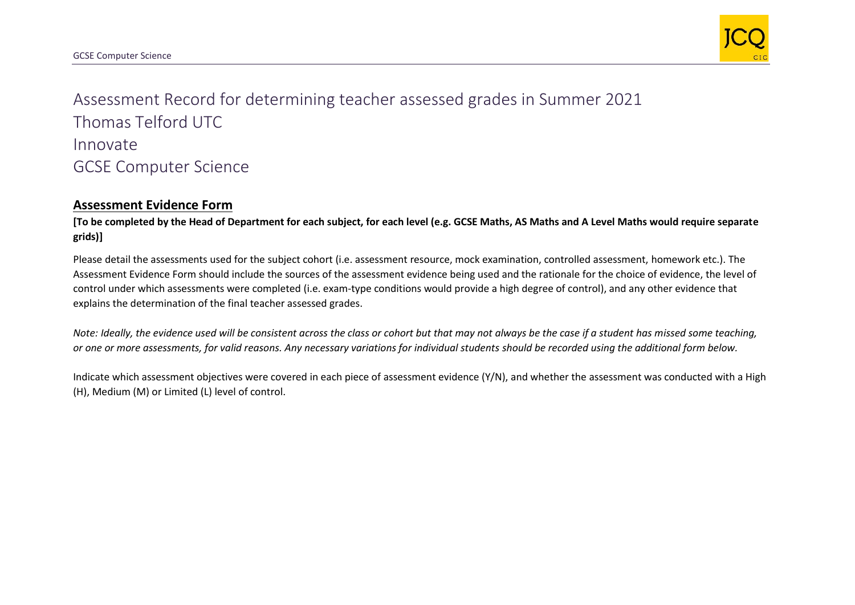

Assessment Record for determining teacher assessed grades in Summer 2021 Thomas Telford UTC Innovate GCSE Computer Science

## **Assessment Evidence Form**

**[To be completed by the Head of Department for each subject, for each level (e.g. GCSE Maths, AS Maths and A Level Maths would require separate grids)]**

Please detail the assessments used for the subject cohort (i.e. assessment resource, mock examination, controlled assessment, homework etc.). The Assessment Evidence Form should include the sources of the assessment evidence being used and the rationale for the choice of evidence, the level of control under which assessments were completed (i.e. exam-type conditions would provide a high degree of control), and any other evidence that explains the determination of the final teacher assessed grades.

*Note: Ideally, the evidence used will be consistent across the class or cohort but that may not always be the case if a student has missed some teaching, or one or more assessments, for valid reasons. Any necessary variations for individual students should be recorded using the additional form below.* 

Indicate which assessment objectives were covered in each piece of assessment evidence (Y/N), and whether the assessment was conducted with a High (H), Medium (M) or Limited (L) level of control.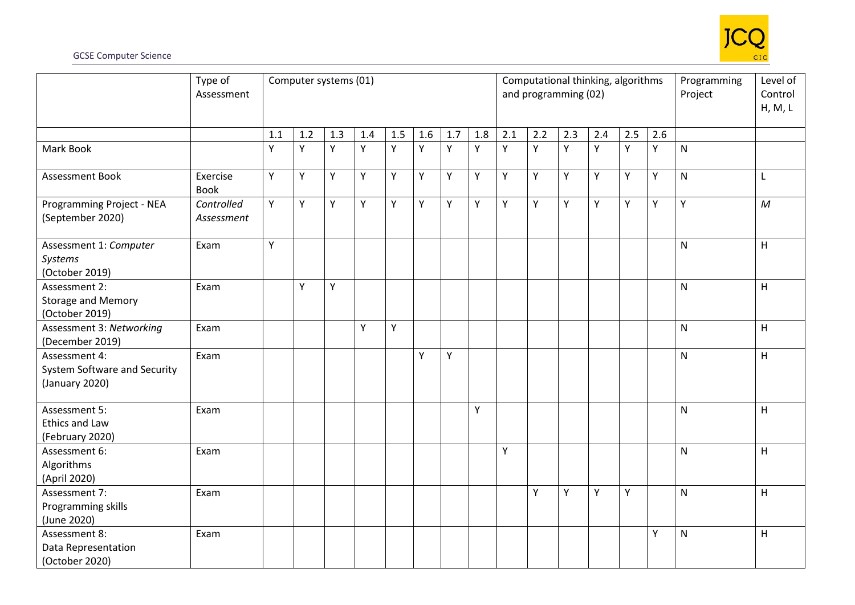

## GCSE Computer Science

|                                                                 | Type of<br>Assessment    | Computer systems (01) |     |     |     |     |     |     |     |     | Computational thinking, algorithms<br>and programming (02) |     |     | Programming<br>Project | Level of<br>Control<br>H, M, L |              |              |
|-----------------------------------------------------------------|--------------------------|-----------------------|-----|-----|-----|-----|-----|-----|-----|-----|------------------------------------------------------------|-----|-----|------------------------|--------------------------------|--------------|--------------|
|                                                                 |                          | 1.1                   | 1.2 | 1.3 | 1.4 | 1.5 | 1.6 | 1.7 | 1.8 | 2.1 | 2.2                                                        | 2.3 | 2.4 | 2.5                    | 2.6                            |              |              |
| Mark Book                                                       |                          | Y                     | Y   | Υ   | Υ   | Y   | Y   | Υ   | Υ   | Y   | Y                                                          | Y   | Y   | Y                      | Y                              | ${\sf N}$    |              |
| Assessment Book                                                 | Exercise<br><b>Book</b>  | Y.                    | Y   | Y   | Y   | Y   | Y   | Y   | Y   | Y   | Y                                                          | Y   | Y   | Y                      | Y                              | $\mathsf{N}$ | L            |
| Programming Project - NEA<br>(September 2020)                   | Controlled<br>Assessment | Y.                    | Y   | Υ   | Y   | Y   | Y   | Y   | Y   | Y   | Y                                                          | Y   | Y   | Y                      | Y                              | Y            | $\mathcal M$ |
| Assessment 1: Computer<br>Systems<br>(October 2019)             | Exam                     | Y                     |     |     |     |     |     |     |     |     |                                                            |     |     |                        |                                | ${\sf N}$    | H            |
| Assessment 2:<br><b>Storage and Memory</b><br>(October 2019)    | Exam                     |                       | Y   | Υ   |     |     |     |     |     |     |                                                            |     |     |                        |                                | ${\sf N}$    | H            |
| Assessment 3: Networking<br>(December 2019)                     | Exam                     |                       |     |     | Y   | Y   |     |     |     |     |                                                            |     |     |                        |                                | $\mathsf{N}$ | H            |
| Assessment 4:<br>System Software and Security<br>(January 2020) | Exam                     |                       |     |     |     |     | Y   | Y   |     |     |                                                            |     |     |                        |                                | $\mathsf{N}$ | H            |
| Assessment 5:<br><b>Ethics and Law</b><br>(February 2020)       | Exam                     |                       |     |     |     |     |     |     | Y   |     |                                                            |     |     |                        |                                | $\mathsf{N}$ | H            |
| Assessment 6:<br>Algorithms<br>(April 2020)                     | Exam                     |                       |     |     |     |     |     |     |     | Y   |                                                            |     |     |                        |                                | $\mathsf{N}$ | H            |
| Assessment 7:<br>Programming skills<br>(June 2020)              | Exam                     |                       |     |     |     |     |     |     |     |     | Y                                                          | Y   | Y   | Υ                      |                                | $\mathsf{N}$ | H            |
| Assessment 8:<br>Data Representation<br>(October 2020)          | Exam                     |                       |     |     |     |     |     |     |     |     |                                                            |     |     |                        | Y                              | $\mathsf{N}$ | H            |